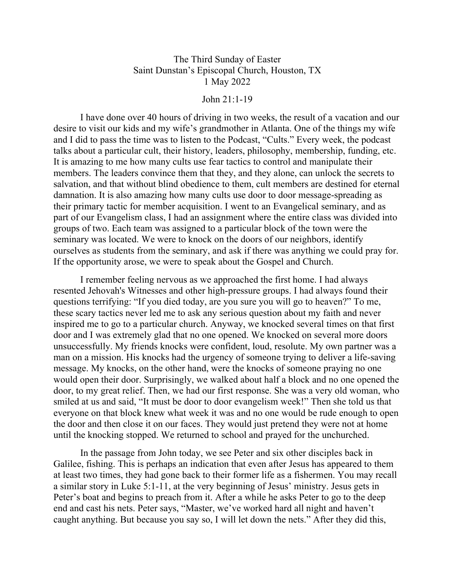## The Third Sunday of Easter Saint Dunstan's Episcopal Church, Houston, TX 1 May 2022

## John 21:1-19

I have done over 40 hours of driving in two weeks, the result of a vacation and our desire to visit our kids and my wife's grandmother in Atlanta. One of the things my wife and I did to pass the time was to listen to the Podcast, "Cults." Every week, the podcast talks about a particular cult, their history, leaders, philosophy, membership, funding, etc. It is amazing to me how many cults use fear tactics to control and manipulate their members. The leaders convince them that they, and they alone, can unlock the secrets to salvation, and that without blind obedience to them, cult members are destined for eternal damnation. It is also amazing how many cults use door to door message-spreading as their primary tactic for member acquisition. I went to an Evangelical seminary, and as part of our Evangelism class, I had an assignment where the entire class was divided into groups of two. Each team was assigned to a particular block of the town were the seminary was located. We were to knock on the doors of our neighbors, identify ourselves as students from the seminary, and ask if there was anything we could pray for. If the opportunity arose, we were to speak about the Gospel and Church.

I remember feeling nervous as we approached the first home. I had always resented Jehovah's Witnesses and other high-pressure groups. I had always found their questions terrifying: "If you died today, are you sure you will go to heaven?" To me, these scary tactics never led me to ask any serious question about my faith and never inspired me to go to a particular church. Anyway, we knocked several times on that first door and I was extremely glad that no one opened. We knocked on several more doors unsuccessfully. My friends knocks were confident, loud, resolute. My own partner was a man on a mission. His knocks had the urgency of someone trying to deliver a life-saving message. My knocks, on the other hand, were the knocks of someone praying no one would open their door. Surprisingly, we walked about half a block and no one opened the door, to my great relief. Then, we had our first response. She was a very old woman, who smiled at us and said, "It must be door to door evangelism week!" Then she told us that everyone on that block knew what week it was and no one would be rude enough to open the door and then close it on our faces. They would just pretend they were not at home until the knocking stopped. We returned to school and prayed for the unchurched.

In the passage from John today, we see Peter and six other disciples back in Galilee, fishing. This is perhaps an indication that even after Jesus has appeared to them at least two times, they had gone back to their former life as a fishermen. You may recall a similar story in Luke 5:1-11, at the very beginning of Jesus' ministry. Jesus gets in Peter's boat and begins to preach from it. After a while he asks Peter to go to the deep end and cast his nets. Peter says, "Master, we've worked hard all night and haven't caught anything. But because you say so, I will let down the nets." After they did this,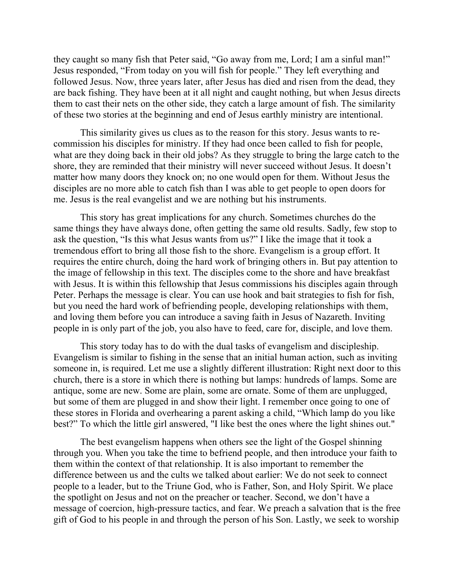they caught so many fish that Peter said, "Go away from me, Lord; I am a sinful man!" Jesus responded, "From today on you will fish for people." They left everything and followed Jesus. Now, three years later, after Jesus has died and risen from the dead, they are back fishing. They have been at it all night and caught nothing, but when Jesus directs them to cast their nets on the other side, they catch a large amount of fish. The similarity of these two stories at the beginning and end of Jesus earthly ministry are intentional.

This similarity gives us clues as to the reason for this story. Jesus wants to recommission his disciples for ministry. If they had once been called to fish for people, what are they doing back in their old jobs? As they struggle to bring the large catch to the shore, they are reminded that their ministry will never succeed without Jesus. It doesn't matter how many doors they knock on; no one would open for them. Without Jesus the disciples are no more able to catch fish than I was able to get people to open doors for me. Jesus is the real evangelist and we are nothing but his instruments.

This story has great implications for any church. Sometimes churches do the same things they have always done, often getting the same old results. Sadly, few stop to ask the question, "Is this what Jesus wants from us?" I like the image that it took a tremendous effort to bring all those fish to the shore. Evangelism is a group effort. It requires the entire church, doing the hard work of bringing others in. But pay attention to the image of fellowship in this text. The disciples come to the shore and have breakfast with Jesus. It is within this fellowship that Jesus commissions his disciples again through Peter. Perhaps the message is clear. You can use hook and bait strategies to fish for fish, but you need the hard work of befriending people, developing relationships with them, and loving them before you can introduce a saving faith in Jesus of Nazareth. Inviting people in is only part of the job, you also have to feed, care for, disciple, and love them.

This story today has to do with the dual tasks of evangelism and discipleship. Evangelism is similar to fishing in the sense that an initial human action, such as inviting someone in, is required. Let me use a slightly different illustration: Right next door to this church, there is a store in which there is nothing but lamps: hundreds of lamps. Some are antique, some are new. Some are plain, some are ornate. Some of them are unplugged, but some of them are plugged in and show their light. I remember once going to one of these stores in Florida and overhearing a parent asking a child, "Which lamp do you like best?" To which the little girl answered, "I like best the ones where the light shines out."

The best evangelism happens when others see the light of the Gospel shinning through you. When you take the time to befriend people, and then introduce your faith to them within the context of that relationship. It is also important to remember the difference between us and the cults we talked about earlier: We do not seek to connect people to a leader, but to the Triune God, who is Father, Son, and Holy Spirit. We place the spotlight on Jesus and not on the preacher or teacher. Second, we don't have a message of coercion, high-pressure tactics, and fear. We preach a salvation that is the free gift of God to his people in and through the person of his Son. Lastly, we seek to worship